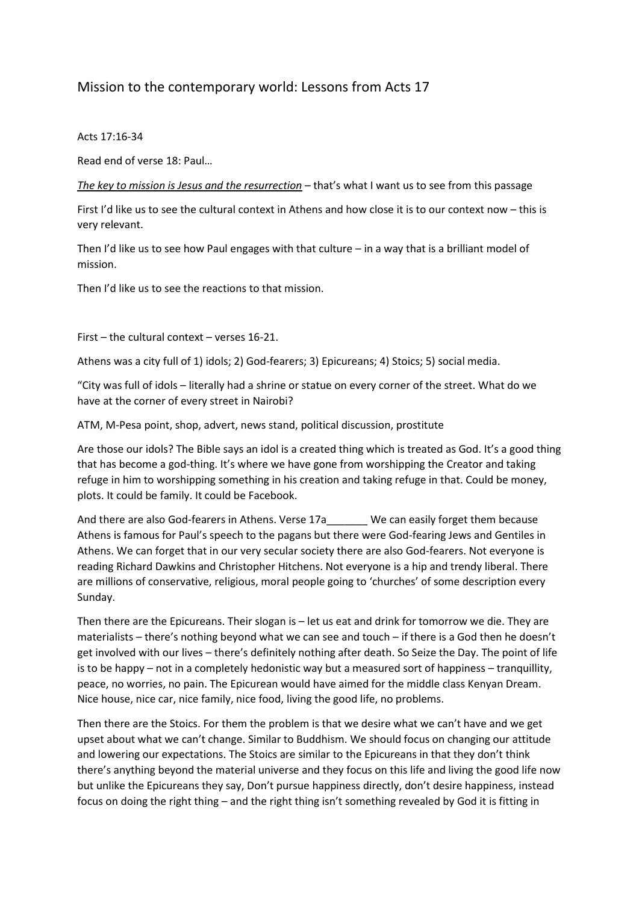## Mission to the contemporary world: Lessons from Acts 17

## Acts 17:16-34

Read end of verse 18: Paul…

*The key to mission is Jesus and the resurrection* – that's what I want us to see from this passage

First I'd like us to see the cultural context in Athens and how close it is to our context now – this is very relevant.

Then I'd like us to see how Paul engages with that culture  $-$  in a way that is a brilliant model of mission.

Then I'd like us to see the reactions to that mission.

First – the cultural context – verses 16-21.

Athens was a city full of 1) idols; 2) God-fearers; 3) Epicureans; 4) Stoics; 5) social media.

"City was full of idols – literally had a shrine or statue on every corner of the street. What do we have at the corner of every street in Nairobi?

ATM, M-Pesa point, shop, advert, news stand, political discussion, prostitute

Are those our idols? The Bible says an idol is a created thing which is treated as God. It's a good thing that has become a god-thing. It's where we have gone from worshipping the Creator and taking refuge in him to worshipping something in his creation and taking refuge in that. Could be money, plots. It could be family. It could be Facebook.

And there are also God-fearers in Athens. Verse 17a We can easily forget them because Athens is famous for Paul's speech to the pagans but there were God-fearing Jews and Gentiles in Athens. We can forget that in our very secular society there are also God-fearers. Not everyone is reading Richard Dawkins and Christopher Hitchens. Not everyone is a hip and trendy liberal. There are millions of conservative, religious, moral people going to 'churches' of some description every Sunday.

Then there are the Epicureans. Their slogan is – let us eat and drink for tomorrow we die. They are materialists – there's nothing beyond what we can see and touch – if there is a God then he doesn't get involved with our lives – there's definitely nothing after death. So Seize the Day. The point of life is to be happy – not in a completely hedonistic way but a measured sort of happiness – tranquillity, peace, no worries, no pain. The Epicurean would have aimed for the middle class Kenyan Dream. Nice house, nice car, nice family, nice food, living the good life, no problems.

Then there are the Stoics. For them the problem is that we desire what we can't have and we get upset about what we can't change. Similar to Buddhism. We should focus on changing our attitude and lowering our expectations. The Stoics are similar to the Epicureans in that they don't think there's anything beyond the material universe and they focus on this life and living the good life now but unlike the Epicureans they say, Don't pursue happiness directly, don't desire happiness, instead focus on doing the right thing – and the right thing isn't something revealed by God it is fitting in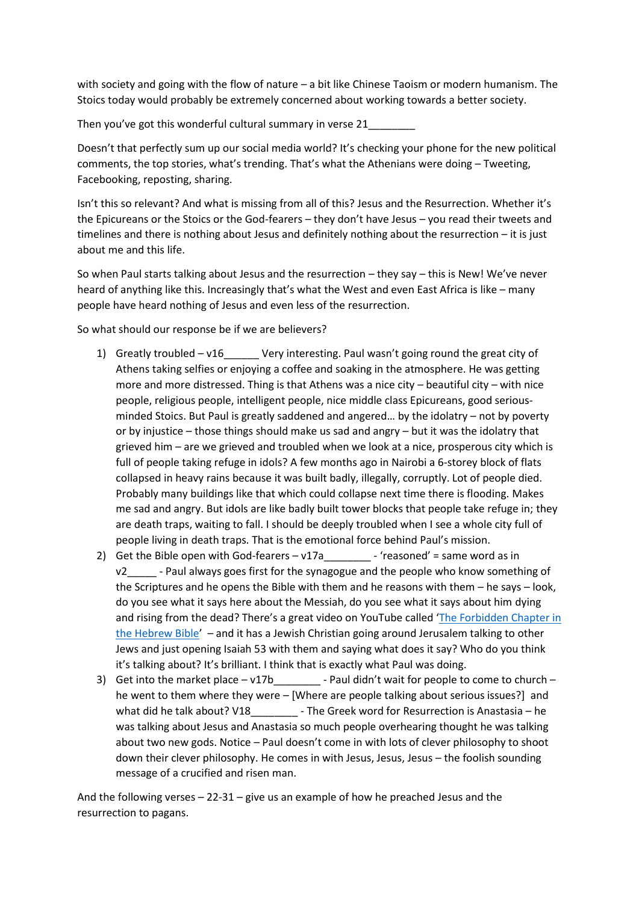with society and going with the flow of nature – a bit like Chinese Taoism or modern humanism. The Stoics today would probably be extremely concerned about working towards a better society.

Then you've got this wonderful cultural summary in verse 21

Doesn't that perfectly sum up our social media world? It's checking your phone for the new political comments, the top stories, what's trending. That's what the Athenians were doing – Tweeting, Facebooking, reposting, sharing.

Isn't this so relevant? And what is missing from all of this? Jesus and the Resurrection. Whether it's the Epicureans or the Stoics or the God-fearers – they don't have Jesus – you read their tweets and timelines and there is nothing about Jesus and definitely nothing about the resurrection – it is just about me and this life.

So when Paul starts talking about Jesus and the resurrection – they say – this is New! We've never heard of anything like this. Increasingly that's what the West and even East Africa is like – many people have heard nothing of Jesus and even less of the resurrection.

So what should our response be if we are believers?

- 1) Greatly troubled v16\_\_\_\_\_\_ Very interesting. Paul wasn't going round the great city of Athens taking selfies or enjoying a coffee and soaking in the atmosphere. He was getting more and more distressed. Thing is that Athens was a nice city – beautiful city – with nice people, religious people, intelligent people, nice middle class Epicureans, good seriousminded Stoics. But Paul is greatly saddened and angered… by the idolatry – not by poverty or by injustice – those things should make us sad and angry – but it was the idolatry that grieved him – are we grieved and troubled when we look at a nice, prosperous city which is full of people taking refuge in idols? A few months ago in Nairobi a 6-storey block of flats collapsed in heavy rains because it was built badly, illegally, corruptly. Lot of people died. Probably many buildings like that which could collapse next time there is flooding. Makes me sad and angry. But idols are like badly built tower blocks that people take refuge in; they are death traps, waiting to fall. I should be deeply troubled when I see a whole city full of people living in death traps. That is the emotional force behind Paul's mission.
- 2) Get the Bible open with God-fearers  $v17a$  \_\_\_\_\_\_\_\_ 'reasoned' = same word as in v2\_\_\_\_\_ - Paul always goes first for the synagogue and the people who know something of the Scriptures and he opens the Bible with them and he reasons with them – he says – look, do you see what it says here about the Messiah, do you see what it says about him dying and rising from the dead? There's a great video on YouTube called '[The Forbidden Chapter in](https://www.youtube.com/watch?v=cGz9BVJ_k6s)  [the Hebrew Bible](https://www.youtube.com/watch?v=cGz9BVJ_k6s)' – and it has a Jewish Christian going around Jerusalem talking to other Jews and just opening Isaiah 53 with them and saying what does it say? Who do you think it's talking about? It's brilliant. I think that is exactly what Paul was doing.
- 3) Get into the market place v17b  $\qquad$  Paul didn't wait for people to come to church he went to them where they were – [Where are people talking about serious issues?] and what did he talk about? V18 - The Greek word for Resurrection is Anastasia – he was talking about Jesus and Anastasia so much people overhearing thought he was talking about two new gods. Notice – Paul doesn't come in with lots of clever philosophy to shoot down their clever philosophy. He comes in with Jesus, Jesus, Jesus – the foolish sounding message of a crucified and risen man.

And the following verses  $-22-31 -$  give us an example of how he preached Jesus and the resurrection to pagans.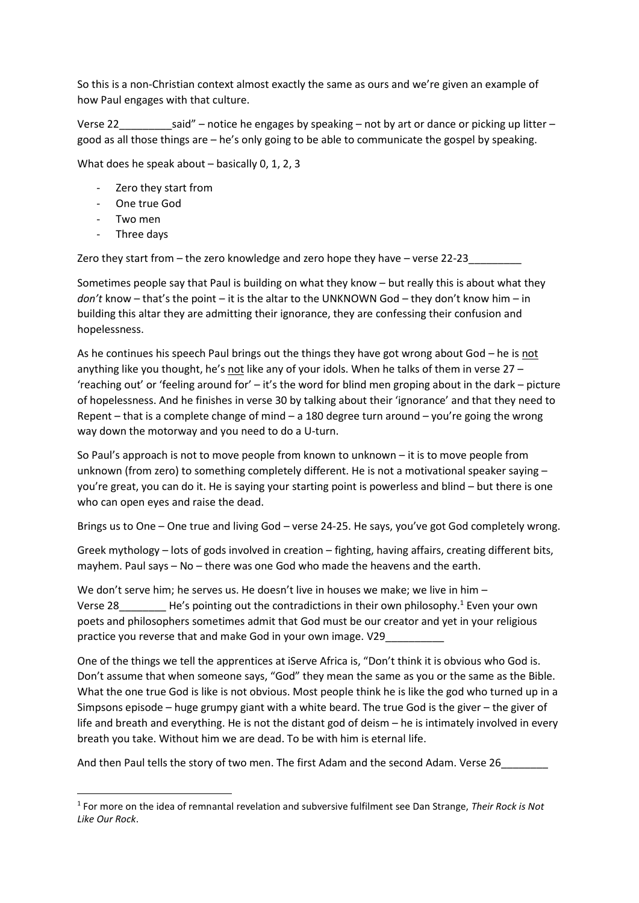So this is a non-Christian context almost exactly the same as ours and we're given an example of how Paul engages with that culture.

Verse 22  $\qquad \qquad$  said" – notice he engages by speaking – not by art or dance or picking up litter – good as all those things are – he's only going to be able to communicate the gospel by speaking.

What does he speak about – basically 0, 1, 2, 3

- Zero they start from
- One true God
- Two men

**.** 

Three days

Zero they start from  $-$  the zero knowledge and zero hope they have  $-$  verse 22-23

Sometimes people say that Paul is building on what they know – but really this is about what they *don't* know – that's the point – it is the altar to the UNKNOWN God – they don't know him – in building this altar they are admitting their ignorance, they are confessing their confusion and hopelessness.

As he continues his speech Paul brings out the things they have got wrong about God – he is not anything like you thought, he's not like any of your idols. When he talks of them in verse 27 – 'reaching out' or 'feeling around for' – it's the word for blind men groping about in the dark – picture of hopelessness. And he finishes in verse 30 by talking about their 'ignorance' and that they need to Repent – that is a complete change of mind – a 180 degree turn around – you're going the wrong way down the motorway and you need to do a U-turn.

So Paul's approach is not to move people from known to unknown – it is to move people from unknown (from zero) to something completely different. He is not a motivational speaker saying – you're great, you can do it. He is saying your starting point is powerless and blind – but there is one who can open eyes and raise the dead.

Brings us to One – One true and living God – verse 24-25. He says, you've got God completely wrong.

Greek mythology – lots of gods involved in creation – fighting, having affairs, creating different bits, mayhem. Paul says – No – there was one God who made the heavens and the earth.

We don't serve him; he serves us. He doesn't live in houses we make; we live in him – Verse 28 The's pointing out the contradictions in their own philosophy.<sup>1</sup> Even your own poets and philosophers sometimes admit that God must be our creator and yet in your religious practice you reverse that and make God in your own image. V29

One of the things we tell the apprentices at iServe Africa is, "Don't think it is obvious who God is. Don't assume that when someone says, "God" they mean the same as you or the same as the Bible. What the one true God is like is not obvious. Most people think he is like the god who turned up in a Simpsons episode – huge grumpy giant with a white beard. The true God is the giver – the giver of life and breath and everything. He is not the distant god of deism – he is intimately involved in every breath you take. Without him we are dead. To be with him is eternal life.

And then Paul tells the story of two men. The first Adam and the second Adam. Verse 26

<sup>1</sup> For more on the idea of remnantal revelation and subversive fulfilment see Dan Strange, *Their Rock is Not Like Our Rock*.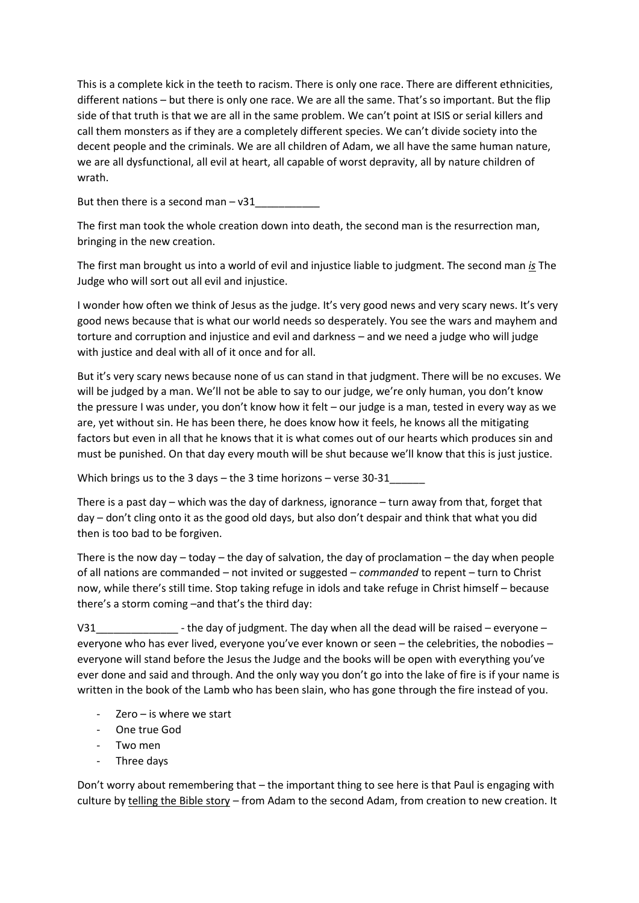This is a complete kick in the teeth to racism. There is only one race. There are different ethnicities, different nations – but there is only one race. We are all the same. That's so important. But the flip side of that truth is that we are all in the same problem. We can't point at ISIS or serial killers and call them monsters as if they are a completely different species. We can't divide society into the decent people and the criminals. We are all children of Adam, we all have the same human nature, we are all dysfunctional, all evil at heart, all capable of worst depravity, all by nature children of wrath.

But then there is a second man  $-$  v31

The first man took the whole creation down into death, the second man is the resurrection man, bringing in the new creation.

The first man brought us into a world of evil and injustice liable to judgment. The second man *is* The Judge who will sort out all evil and injustice.

I wonder how often we think of Jesus as the judge. It's very good news and very scary news. It's very good news because that is what our world needs so desperately. You see the wars and mayhem and torture and corruption and injustice and evil and darkness – and we need a judge who will judge with justice and deal with all of it once and for all.

But it's very scary news because none of us can stand in that judgment. There will be no excuses. We will be judged by a man. We'll not be able to say to our judge, we're only human, you don't know the pressure I was under, you don't know how it felt – our judge is a man, tested in every way as we are, yet without sin. He has been there, he does know how it feels, he knows all the mitigating factors but even in all that he knows that it is what comes out of our hearts which produces sin and must be punished. On that day every mouth will be shut because we'll know that this is just justice.

Which brings us to the 3 days – the 3 time horizons – verse 30-31

There is a past day – which was the day of darkness, ignorance – turn away from that, forget that day – don't cling onto it as the good old days, but also don't despair and think that what you did then is too bad to be forgiven.

There is the now day  $-$  today  $-$  the day of salvation, the day of proclamation  $-$  the day when people of all nations are commanded – not invited or suggested – *commanded* to repent – turn to Christ now, while there's still time. Stop taking refuge in idols and take refuge in Christ himself – because there's a storm coming –and that's the third day:

V31  $\blacksquare$  - the day of judgment. The day when all the dead will be raised – everyone – everyone who has ever lived, everyone you've ever known or seen – the celebrities, the nobodies – everyone will stand before the Jesus the Judge and the books will be open with everything you've ever done and said and through. And the only way you don't go into the lake of fire is if your name is written in the book of the Lamb who has been slain, who has gone through the fire instead of you.

- $Zero is$  where we start
- One true God
- Two men
- Three days

Don't worry about remembering that – the important thing to see here is that Paul is engaging with culture by telling the Bible story – from Adam to the second Adam, from creation to new creation. It